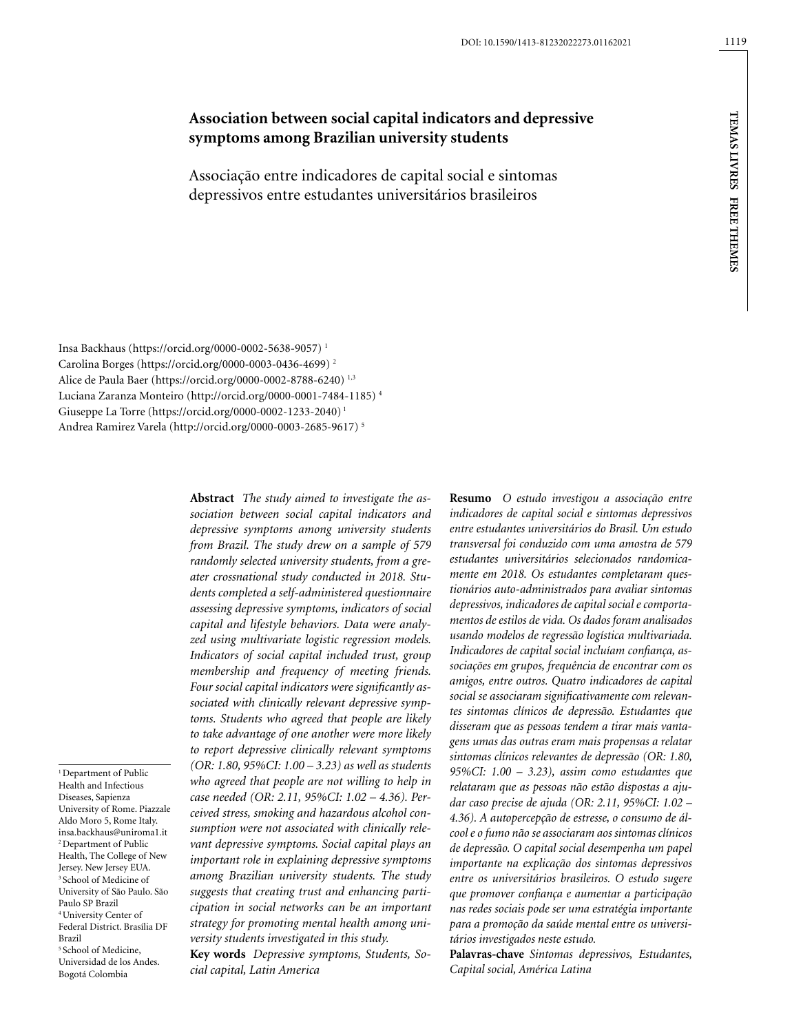# **Association between social capital indicators and depressive symptoms among Brazilian university students**

Associação entre indicadores de capital social e sintomas depressivos entre estudantes universitários brasileiros

Insa Backhaus [\(https://orcid.org/0000-0002-5638-9057](https://orcid.org/0000-0002-5638-9057)) 1 Carolina Borges ([https://orcid.org/0000-0003-0436-4699\)](https://orcid.org/0000-0003-0436-4699) 2 Alice de Paula Baer ([https://orcid.org/0000-0002-8788-6240\)](https://orcid.org/0000-0002-8788-6240) 1,3 Luciana Zaranza Monteiro (<http://orcid.org/0000-0001-7484-1185>) 4 Giuseppe La Torre [\(https://orcid.org/0000-0002-1233-2040](https://orcid.org/0000-0002-1233-2040)) 1 Andrea Ramirez Varela [\(http://orcid.org/0000-0003-2685-9617](http://orcid.org/0000-0003-2685-9617)) 5

<sup>1</sup> Department of Public Health and Infectious Diseases, Sapienza University of Rome. Piazzale Aldo Moro 5, Rome Italy. [insa.backhaus@uniroma1.it](mailto:insa.backhaus@uniroma1.it) 2 Department of Public Health, The College of New Jersey. New Jersey EUA. 3 School of Medicine of University of São Paulo. São Paulo SP Brazil 4 University Center of Federal District. Brasília DF 5 School of Medicine, Universidad de los Andes. Bogotá Colombia

Brazil

*sociation between social capital indicators and depressive symptoms among university students from Brazil. The study drew on a sample of 579 randomly selected university students, from a greater crossnational study conducted in 2018. Students completed a self-administered questionnaire assessing depressive symptoms, indicators of social capital and lifestyle behaviors. Data were analyzed using multivariate logistic regression models. Indicators of social capital included trust, group membership and frequency of meeting friends. Four social capital indicators were significantly associated with clinically relevant depressive symptoms. Students who agreed that people are likely to take advantage of one another were more likely to report depressive clinically relevant symptoms (OR: 1.80, 95%CI: 1.00 – 3.23) as well as students who agreed that people are not willing to help in case needed (OR: 2.11, 95%CI: 1.02 – 4.36). Perceived stress, smoking and hazardous alcohol consumption were not associated with clinically relevant depressive symptoms. Social capital plays an important role in explaining depressive symptoms among Brazilian university students. The study suggests that creating trust and enhancing participation in social networks can be an important strategy for promoting mental health among university students investigated in this study.*

**Abstract** *The study aimed to investigate the as-*

**Key words** *Depressive symptoms, Students, Social capital, Latin America*

**Resumo** *O estudo investigou a associação entre indicadores de capital social e sintomas depressivos entre estudantes universitários do Brasil. Um estudo transversal foi conduzido com uma amostra de 579 estudantes universitários selecionados randomicamente em 2018. Os estudantes completaram questionários auto-administrados para avaliar sintomas depressivos, indicadores de capital social e comportamentos de estilos de vida. Os dados foram analisados usando modelos de regressão logística multivariada. Indicadores de capital social incluíam confiança, associações em grupos, frequência de encontrar com os amigos, entre outros. Quatro indicadores de capital social se associaram significativamente com relevantes sintomas clínicos de depressão. Estudantes que disseram que as pessoas tendem a tirar mais vantagens umas das outras eram mais propensas a relatar sintomas clínicos relevantes de depressão (OR: 1.80, 95%CI: 1.00 – 3.23), assim como estudantes que relataram que as pessoas não estão dispostas a ajudar caso precise de ajuda (OR: 2.11, 95%CI: 1.02 – 4.36). A autopercepção de estresse, o consumo de álcool e o fumo não se associaram aos sintomas clínicos de depressão. O capital social desempenha um papel importante na explicação dos sintomas depressivos entre os universitários brasileiros. O estudo sugere que promover confiança e aumentar a participação nas redes sociais pode ser uma estratégia importante para a promoção da saúde mental entre os universitários investigados neste estudo.*

**Palavras-chave** *Sintomas depressivos, Estudantes, Capital social, América Latina*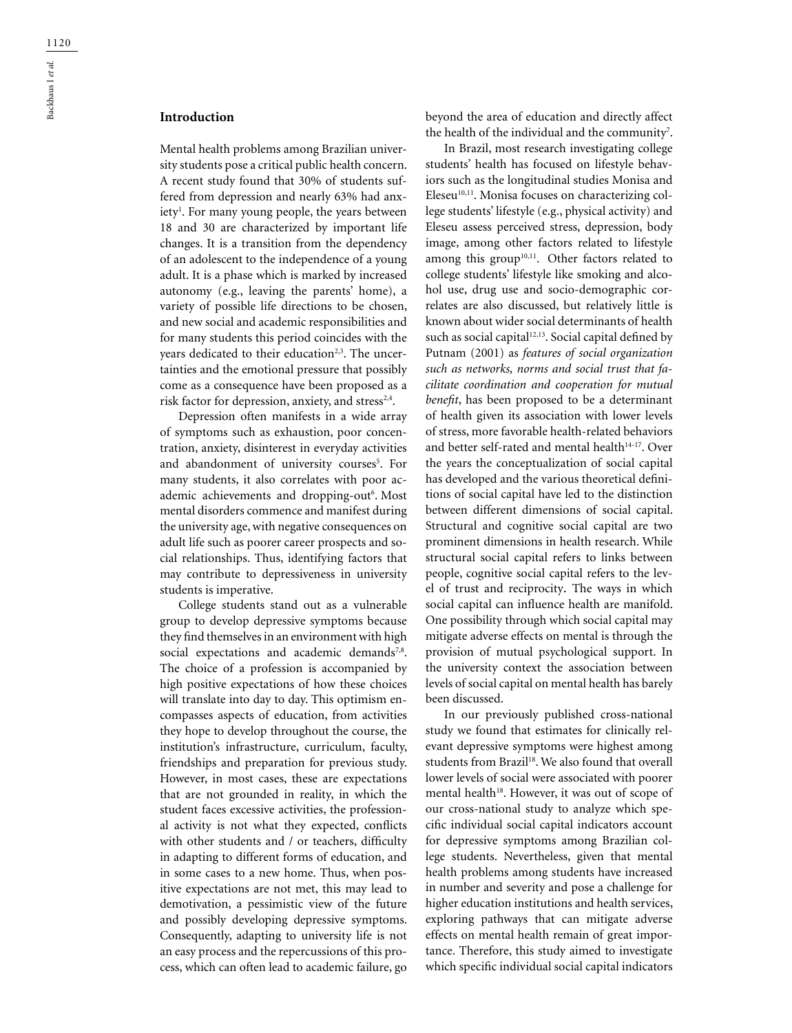## **Introduction**

Mental health problems among Brazilian university students pose a critical public health concern. A recent study found that 30% of students suffered from depression and nearly 63% had anxiety<sup>1</sup>. For many young people, the years between 18 and 30 are characterized by important life changes. It is a transition from the dependency of an adolescent to the independence of a young adult. It is a phase which is marked by increased autonomy (e.g., leaving the parents' home), a variety of possible life directions to be chosen, and new social and academic responsibilities and for many students this period coincides with the years dedicated to their education<sup>2,3</sup>. The uncertainties and the emotional pressure that possibly come as a consequence have been proposed as a risk factor for depression, anxiety, and stress<sup>2,4</sup>.

Depression often manifests in a wide array of symptoms such as exhaustion, poor concentration, anxiety, disinterest in everyday activities and abandonment of university courses<sup>5</sup>. For many students, it also correlates with poor academic achievements and dropping-out<sup>6</sup>. Most mental disorders commence and manifest during the university age, with negative consequences on adult life such as poorer career prospects and social relationships. Thus, identifying factors that may contribute to depressiveness in university students is imperative.

College students stand out as a vulnerable group to develop depressive symptoms because they find themselves in an environment with high social expectations and academic demands<sup>7,8</sup>. The choice of a profession is accompanied by high positive expectations of how these choices will translate into day to day. This optimism encompasses aspects of education, from activities they hope to develop throughout the course, the institution's infrastructure, curriculum, faculty, friendships and preparation for previous study. However, in most cases, these are expectations that are not grounded in reality, in which the student faces excessive activities, the professional activity is not what they expected, conflicts with other students and / or teachers, difficulty in adapting to different forms of education, and in some cases to a new home. Thus, when positive expectations are not met, this may lead to demotivation, a pessimistic view of the future and possibly developing depressive symptoms. Consequently, adapting to university life is not an easy process and the repercussions of this process, which can often lead to academic failure, go

beyond the area of education and directly affect the health of the individual and the community<sup>7</sup>.

In Brazil, most research investigating college students' health has focused on lifestyle behaviors such as the longitudinal studies Monisa and Eleseu<sup>10,11</sup>. Monisa focuses on characterizing college students' lifestyle (e.g., physical activity) and Eleseu assess perceived stress, depression, body image, among other factors related to lifestyle among this group<sup>10,11</sup>. Other factors related to college students' lifestyle like smoking and alcohol use, drug use and socio-demographic correlates are also discussed, but relatively little is known about wider social determinants of health such as social capital<sup>12,13</sup>. Social capital defined by Putnam (2001) as *features of social organization such as networks, norms and social trust that facilitate coordination and cooperation for mutual benefit*, has been proposed to be a determinant of health given its association with lower levels of stress, more favorable health-related behaviors and better self-rated and mental health<sup>14-17</sup>. Over the years the conceptualization of social capital has developed and the various theoretical definitions of social capital have led to the distinction between different dimensions of social capital. Structural and cognitive social capital are two prominent dimensions in health research. While structural social capital refers to links between people, cognitive social capital refers to the level of trust and reciprocity. The ways in which social capital can influence health are manifold. One possibility through which social capital may mitigate adverse effects on mental is through the provision of mutual psychological support. In the university context the association between levels of social capital on mental health has barely been discussed.

In our previously published cross-national study we found that estimates for clinically relevant depressive symptoms were highest among students from Brazil<sup>18</sup>. We also found that overall lower levels of social were associated with poorer mental health<sup>18</sup>. However, it was out of scope of our cross-national study to analyze which specific individual social capital indicators account for depressive symptoms among Brazilian college students. Nevertheless, given that mental health problems among students have increased in number and severity and pose a challenge for higher education institutions and health services, exploring pathways that can mitigate adverse effects on mental health remain of great importance. Therefore, this study aimed to investigate which specific individual social capital indicators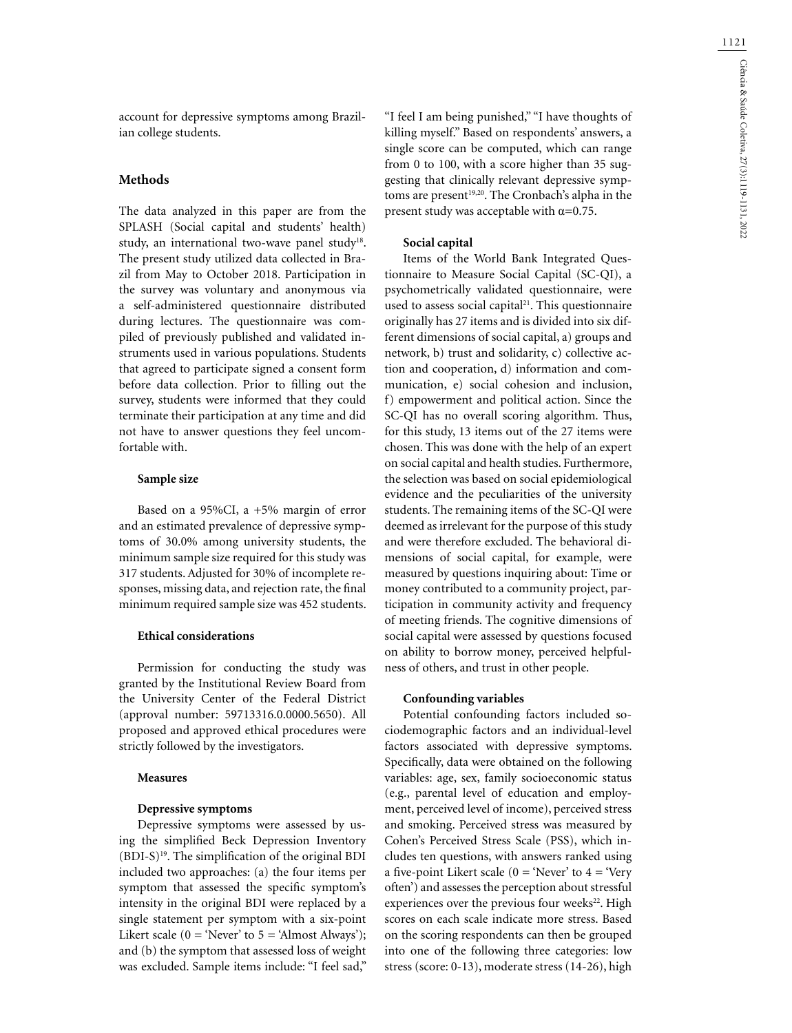account for depressive symptoms among Brazilian college students.

## **Methods**

The data analyzed in this paper are from the SPLASH (Social capital and students' health) study, an international two-wave panel study<sup>18</sup>. The present study utilized data collected in Brazil from May to October 2018. Participation in the survey was voluntary and anonymous via a self-administered questionnaire distributed during lectures. The questionnaire was compiled of previously published and validated instruments used in various populations. Students that agreed to participate signed a consent form before data collection. Prior to filling out the survey, students were informed that they could terminate their participation at any time and did not have to answer questions they feel uncomfortable with.

### **Sample size**

Based on a 95%CI, a +5% margin of error and an estimated prevalence of depressive symptoms of 30.0% among university students, the minimum sample size required for this study was 317 students. Adjusted for 30% of incomplete responses, missing data, and rejection rate, the final minimum required sample size was 452 students.

### **Ethical considerations**

Permission for conducting the study was granted by the Institutional Review Board from the University Center of the Federal District (approval number: 59713316.0.0000.5650). All proposed and approved ethical procedures were strictly followed by the investigators.

#### **Measures**

#### **Depressive symptoms**

Depressive symptoms were assessed by using the simplified Beck Depression Inventory  $(BDI-S)^{19}$ . The simplification of the original BDI included two approaches: (a) the four items per symptom that assessed the specific symptom's intensity in the original BDI were replaced by a single statement per symptom with a six-point Likert scale ( $0 = 'Never'$  to  $5 = 'Almost Always'$ ); and (b) the symptom that assessed loss of weight was excluded. Sample items include: "I feel sad,"

"I feel I am being punished," "I have thoughts of killing myself." Based on respondents' answers, a single score can be computed, which can range from 0 to 100, with a score higher than 35 suggesting that clinically relevant depressive symptoms are present<sup>19,20</sup>. The Cronbach's alpha in the present study was acceptable with  $\alpha$ =0.75.

#### **Social capital**

Items of the World Bank Integrated Questionnaire to Measure Social Capital (SC-QI), a psychometrically validated questionnaire, were used to assess social capital<sup>21</sup>. This questionnaire originally has 27 items and is divided into six different dimensions of social capital, a) groups and network, b) trust and solidarity, c) collective action and cooperation, d) information and communication, e) social cohesion and inclusion, f) empowerment and political action. Since the SC-QI has no overall scoring algorithm. Thus, for this study, 13 items out of the 27 items were chosen. This was done with the help of an expert on social capital and health studies. Furthermore, the selection was based on social epidemiological evidence and the peculiarities of the university students. The remaining items of the SC-QI were deemed as irrelevant for the purpose of this study and were therefore excluded. The behavioral dimensions of social capital, for example, were measured by questions inquiring about: Time or money contributed to a community project, participation in community activity and frequency of meeting friends. The cognitive dimensions of social capital were assessed by questions focused on ability to borrow money, perceived helpfulness of others, and trust in other people.

#### **Confounding variables**

Potential confounding factors included sociodemographic factors and an individual-level factors associated with depressive symptoms. Specifically, data were obtained on the following variables: age, sex, family socioeconomic status (e.g., parental level of education and employment, perceived level of income), perceived stress and smoking. Perceived stress was measured by Cohen's Perceived Stress Scale (PSS), which includes ten questions, with answers ranked using a five-point Likert scale ( $0 = 'Never'$  to  $4 = 'Very$ often') and assesses the perception about stressful experiences over the previous four weeks<sup>22</sup>. High scores on each scale indicate more stress. Based on the scoring respondents can then be grouped into one of the following three categories: low stress (score: 0-13), moderate stress (14-26), high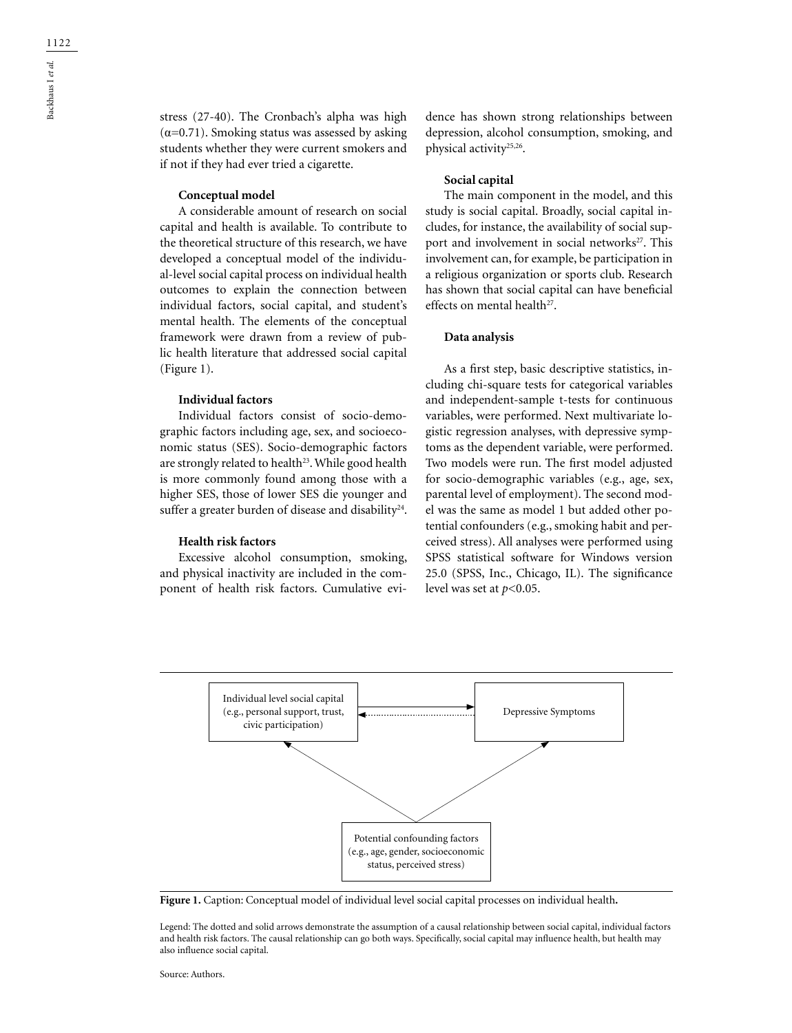stress (27-40). The Cronbach's alpha was high  $(\alpha=0.71)$ . Smoking status was assessed by asking students whether they were current smokers and if not if they had ever tried a cigarette.

#### **Conceptual model**

A considerable amount of research on social capital and health is available. To contribute to the theoretical structure of this research, we have developed a conceptual model of the individual-level social capital process on individual health outcomes to explain the connection between individual factors, social capital, and student's mental health. The elements of the conceptual framework were drawn from a review of public health literature that addressed social capital (Figure 1).

#### **Individual factors**

Individual factors consist of socio-demographic factors including age, sex, and socioeconomic status (SES). Socio-demographic factors are strongly related to health<sup>23</sup>. While good health is more commonly found among those with a higher SES, those of lower SES die younger and suffer a greater burden of disease and disability<sup>24</sup>.

#### **Health risk factors**

Excessive alcohol consumption, smoking, and physical inactivity are included in the component of health risk factors. Cumulative evidence has shown strong relationships between depression, alcohol consumption, smoking, and physical activity25,26.

### **Social capital**

The main component in the model, and this study is social capital. Broadly, social capital includes, for instance, the availability of social support and involvement in social networks<sup>27</sup>. This involvement can, for example, be participation in a religious organization or sports club. Research has shown that social capital can have beneficial effects on mental health<sup>27</sup>.

#### **Data analysis**

As a first step, basic descriptive statistics, including chi-square tests for categorical variables and independent-sample t-tests for continuous variables, were performed. Next multivariate logistic regression analyses, with depressive symptoms as the dependent variable, were performed. Two models were run. The first model adjusted for socio-demographic variables (e.g., age, sex, parental level of employment). The second model was the same as model 1 but added other potential confounders (e.g., smoking habit and perceived stress). All analyses were performed using SPSS statistical software for Windows version 25.0 (SPSS, Inc., Chicago, IL). The significance level was set at *p*<0.05.



**Figure 1.** Caption: Conceptual model of individual level social capital processes on individual health**.**

Legend: The dotted and solid arrows demonstrate the assumption of a causal relationship between social capital, individual factors and health risk factors. The causal relationship can go both ways. Specifically, social capital may influence health, but health may also influence social capital.

Source: Authors.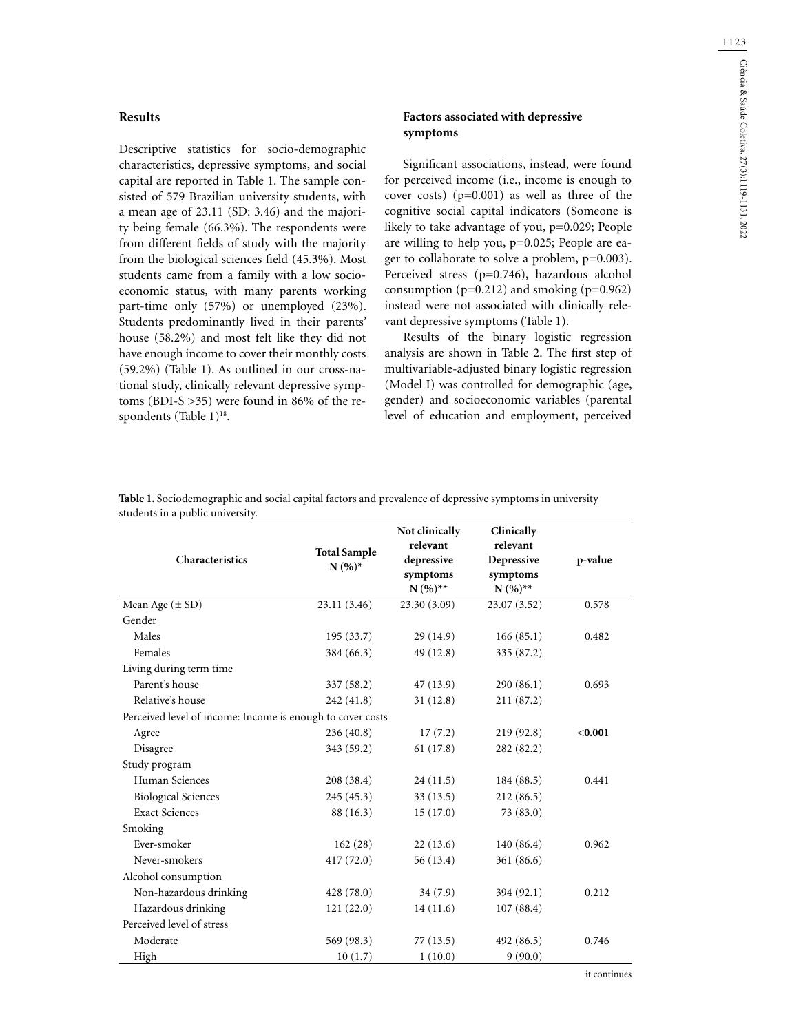### **Results**

Descriptive statistics for socio-demographic characteristics, depressive symptoms, and social capital are reported in Table 1. The sample consisted of 579 Brazilian university students, with a mean age of 23.11 (SD: 3.46) and the majority being female (66.3%). The respondents were from different fields of study with the majority from the biological sciences field (45.3%). Most students came from a family with a low socioeconomic status, with many parents working part-time only (57%) or unemployed (23%). Students predominantly lived in their parents' house (58.2%) and most felt like they did not have enough income to cover their monthly costs (59.2%) (Table 1). As outlined in our cross-national study, clinically relevant depressive symptoms (BDI-S >35) were found in 86% of the respondents (Table 1)<sup>18</sup>.

## **Factors associated with depressive symptoms**

Significant associations, instead, were found for perceived income (i.e., income is enough to cover costs) (p=0.001) as well as three of the cognitive social capital indicators (Someone is likely to take advantage of you, p=0.029; People are willing to help you, p=0.025; People are eager to collaborate to solve a problem, p=0.003). Perceived stress (p=0.746), hazardous alcohol consumption  $(p=0.212)$  and smoking  $(p=0.962)$ instead were not associated with clinically relevant depressive symptoms (Table 1).

Results of the binary logistic regression analysis are shown in Table 2. The first step of multivariable-adjusted binary logistic regression (Model I) was controlled for demographic (age, gender) and socioeconomic variables (parental level of education and employment, perceived

| Characteristics                                            | <b>Total Sample</b><br>$N(%)^*$ | Not clinically<br>relevant<br>depressive<br>symptoms<br>$N(%)**$ | Clinically<br>relevant<br>Depressive<br>symptoms<br>$N(%)**$ | p-value |
|------------------------------------------------------------|---------------------------------|------------------------------------------------------------------|--------------------------------------------------------------|---------|
| Mean Age $(\pm SD)$                                        | 23.11 (3.46)                    | 23.30 (3.09)                                                     | 23.07 (3.52)                                                 | 0.578   |
| Gender                                                     |                                 |                                                                  |                                                              |         |
| Males                                                      | 195(33.7)                       | 29 (14.9)                                                        | 166(85.1)                                                    | 0.482   |
| Females                                                    | 384 (66.3)                      | 49 (12.8)                                                        | 335 (87.2)                                                   |         |
| Living during term time                                    |                                 |                                                                  |                                                              |         |
| Parent's house                                             | 337 (58.2)                      | 47 (13.9)                                                        | 290(86.1)                                                    | 0.693   |
| Relative's house                                           | 242 (41.8)                      | 31(12.8)                                                         | 211 (87.2)                                                   |         |
| Perceived level of income: Income is enough to cover costs |                                 |                                                                  |                                                              |         |
| Agree                                                      | 236(40.8)                       | 17(7.2)                                                          | 219(92.8)                                                    | < 0.001 |
| Disagree                                                   | 343 (59.2)                      | 61(17.8)                                                         | 282 (82.2)                                                   |         |
| Study program                                              |                                 |                                                                  |                                                              |         |
| Human Sciences                                             | 208 (38.4)                      | 24(11.5)                                                         | 184 (88.5)                                                   | 0.441   |
| <b>Biological Sciences</b>                                 | 245 (45.3)                      | 33(13.5)                                                         | 212(86.5)                                                    |         |
| <b>Exact Sciences</b>                                      | 88 (16.3)                       | 15(17.0)                                                         | 73(83.0)                                                     |         |
| Smoking                                                    |                                 |                                                                  |                                                              |         |
| Ever-smoker                                                | 162(28)                         | 22(13.6)                                                         | 140(86.4)                                                    | 0.962   |
| Never-smokers                                              | 417 (72.0)                      | 56 (13.4)                                                        | 361 (86.6)                                                   |         |
| Alcohol consumption                                        |                                 |                                                                  |                                                              |         |
| Non-hazardous drinking                                     | 428 (78.0)                      | 34(7.9)                                                          | 394 (92.1)                                                   | 0.212   |
| Hazardous drinking                                         | 121(22.0)                       | 14(11.6)                                                         | 107(88.4)                                                    |         |
| Perceived level of stress                                  |                                 |                                                                  |                                                              |         |
| Moderate                                                   | 569 (98.3)                      | 77(13.5)                                                         | 492 (86.5)                                                   | 0.746   |
| High                                                       | 10(1.7)                         | 1(10.0)                                                          | 9(90.0)                                                      |         |

**Table 1.** Sociodemographic and social capital factors and prevalence of depressive symptoms in university students in a public university.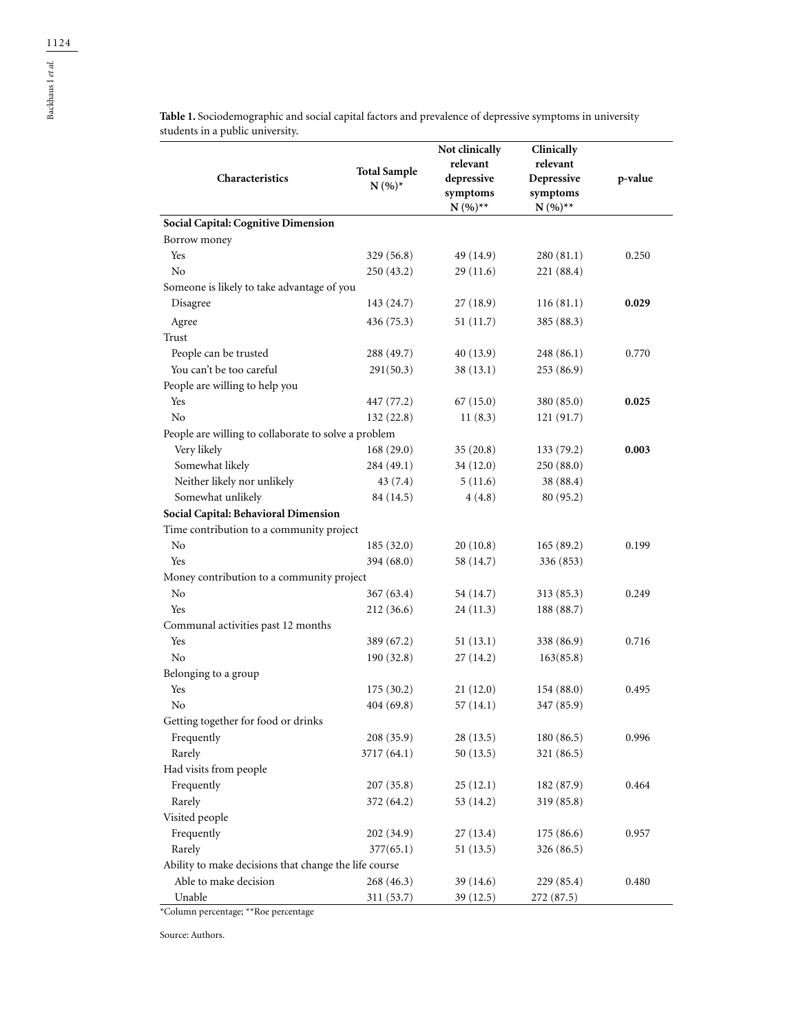**N (%)\* depressive symptoms N (%)\*\* Depressive symptoms N (%)\*\* p-value Social Capital: Cognitive Dimension** Borrow money Yes 329 (56.8) 49 (14.9) 280 (81.1) 0.250 No 250 (43.2) 29 (11.6) 221 (88.4) Someone is likely to take advantage of you Disagree 143 (24.7) 27 (18.9) 116 (81.1) **0.029** Agree 436 (75.3) 51 (11.7) 385 (88.3) Trust People can be trusted 288 (49.7) 40 (13.9) 248 (86.1) 0.770 You can't be too careful 291(50.3) 38 (13.1) 253 (86.9) People are willing to help you Yes **447** (77.2) 67 (15.0) 380 (85.0) **0.025** No 132 (22.8) 11 (8.3) 121 (91.7) People are willing to collaborate to solve a problem Very likely 168 (29.0) 35 (20.8) 133 (79.2) **0.003** Somewhat likely 284 (49.1) 34 (12.0) 250 (88.0) Neither likely nor unlikely  $43 (7.4)$   $5 (11.6)$   $38 (88.4)$ Somewhat unlikely 84 (14.5) 4 (4.8) 80 (95.2) **Social Capital: Behavioral Dimension** Time contribution to a community project No 185 (32.0) 20 (10.8) 165 (89.2) 0.199 Yes 394 (68.0) 58 (14.7) 336 (853) Money contribution to a community project No 367 (63.4) 54 (14.7) 313 (85.3) 0.249 Yes 212 (36.6) 24 (11.3) 188 (88.7) Communal activities past 12 months Yes 389 (67.2) 51 (13.1) 338 (86.9) 0.716 No 190 (32.8) 27 (14.2) 163(85.8) Belonging to a group Yes 175 (30.2) 21 (12.0) 154 (88.0) 0.495 No  $404 (69.8)$   $57 (14.1)$   $347 (85.9)$ Getting together for food or drinks Frequently 208 (35.9) 28 (13.5) 180 (86.5) 0.996 Rarely 3717 (64.1) 50 (13.5) 321 (86.5) Had visits from people Frequently 207 (35.8) 25 (12.1) 182 (87.9) 0.464 Rarely 372 (64.2) 53 (14.2) 319 (85.8) Visited people Frequently 202 (34.9) 27 (13.4) 175 (86.6) 0.957 Rarely 377(65.1) 51 (13.5) 326 (86.5) Ability to make decisions that change the life course

Able to make decision 268 (46.3) 39 (14.6) 229 (85.4) 0.480

Unable 311 (53.7) 39 (12.5) 272 (87.5)

**Table 1.** Sociodemographic and social capital factors and prevalence of depressive symptoms in university students in a public university.

> **Not clinically relevant**

**Clinically relevant**

**Characteristics Total Sample**

\*Column percentage; \*\*Roe percentage

Source: Authors.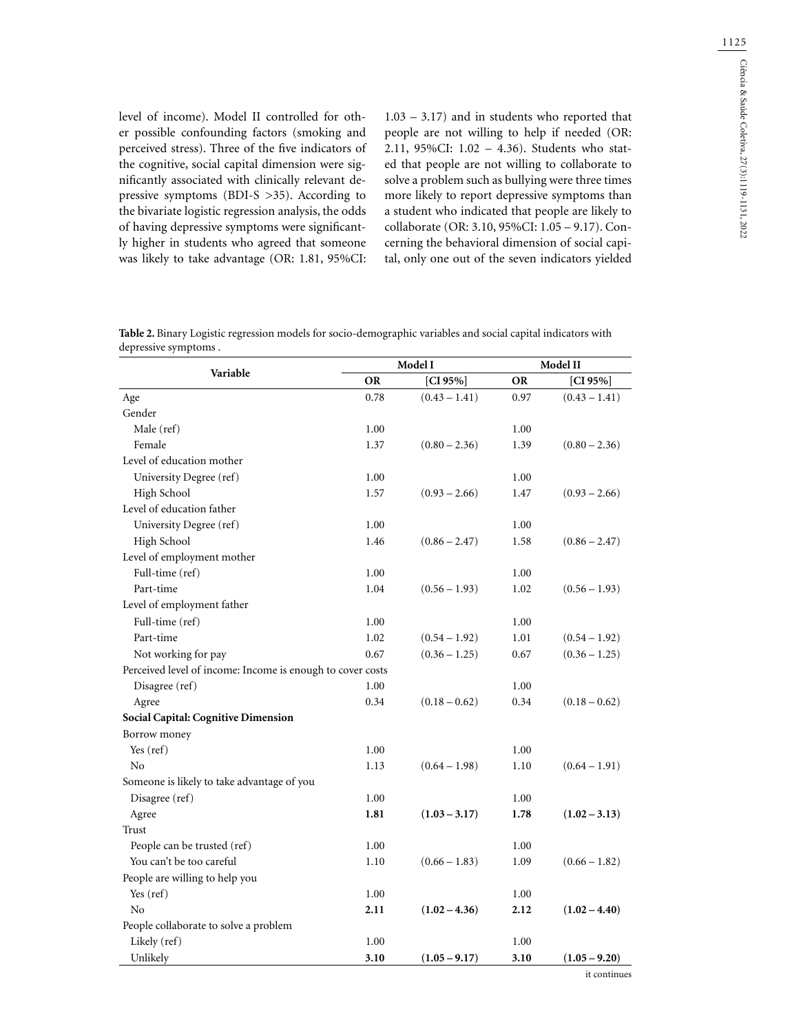1125

level of income). Model II controlled for other possible confounding factors (smoking and perceived stress). Three of the five indicators of the cognitive, social capital dimension were significantly associated with clinically relevant depressive symptoms (BDI-S >35). According to the bivariate logistic regression analysis, the odds of having depressive symptoms were significantly higher in students who agreed that someone was likely to take advantage (OR: 1.81, 95%CI:

1.03 – 3.17) and in students who reported that people are not willing to help if needed (OR: 2.11, 95%CI: 1.02 – 4.36). Students who stated that people are not willing to collaborate to solve a problem such as bullying were three times more likely to report depressive symptoms than a student who indicated that people are likely to collaborate (OR: 3.10, 95%CI: 1.05 – 9.17). Concerning the behavioral dimension of social capital, only one out of the seven indicators yielded

| Model I<br>Model II                                                                                           |  |  |  |  |  |  |
|---------------------------------------------------------------------------------------------------------------|--|--|--|--|--|--|
| depressive symptoms.                                                                                          |  |  |  |  |  |  |
| Table 2. Binary Logistic regression models for socio-demographic variables and social capital indicators with |  |  |  |  |  |  |

|                                                            | Model I   |                 | Model II  |                 |
|------------------------------------------------------------|-----------|-----------------|-----------|-----------------|
| Variable                                                   | <b>OR</b> | [ $CI 95%$ ]    | <b>OR</b> | [ $CI 95%$ ]    |
| Age                                                        | 0.78      | $(0.43 - 1.41)$ | 0.97      | $(0.43 - 1.41)$ |
| Gender                                                     |           |                 |           |                 |
| Male (ref)                                                 | 1.00      |                 | 1.00      |                 |
| Female                                                     | 1.37      | $(0.80 - 2.36)$ | 1.39      | $(0.80 - 2.36)$ |
| Level of education mother                                  |           |                 |           |                 |
| University Degree (ref)                                    | 1.00      |                 | 1.00      |                 |
| High School                                                | 1.57      | $(0.93 - 2.66)$ | 1.47      | $(0.93 - 2.66)$ |
| Level of education father                                  |           |                 |           |                 |
| University Degree (ref)                                    | 1.00      |                 | 1.00      |                 |
| High School                                                | 1.46      | $(0.86 - 2.47)$ | 1.58      | $(0.86 - 2.47)$ |
| Level of employment mother                                 |           |                 |           |                 |
| Full-time (ref)                                            | 1.00      |                 | 1.00      |                 |
| Part-time                                                  | 1.04      | $(0.56 - 1.93)$ | 1.02      | $(0.56 - 1.93)$ |
| Level of employment father                                 |           |                 |           |                 |
| Full-time (ref)                                            | 1.00      |                 | 1.00      |                 |
| Part-time                                                  | 1.02      | $(0.54 - 1.92)$ | 1.01      | $(0.54 - 1.92)$ |
| Not working for pay                                        | 0.67      | $(0.36 - 1.25)$ | 0.67      | $(0.36 - 1.25)$ |
| Perceived level of income: Income is enough to cover costs |           |                 |           |                 |
| Disagree (ref)                                             | 1.00      |                 | 1.00      |                 |
| Agree                                                      | 0.34      | $(0.18 - 0.62)$ | 0.34      | $(0.18 - 0.62)$ |
| Social Capital: Cognitive Dimension                        |           |                 |           |                 |
| Borrow money                                               |           |                 |           |                 |
| Yes (ref)                                                  | 1.00      |                 | 1.00      |                 |
| No                                                         | 1.13      | $(0.64 - 1.98)$ | 1.10      | $(0.64 - 1.91)$ |
| Someone is likely to take advantage of you                 |           |                 |           |                 |
| Disagree (ref)                                             | 1.00      |                 | 1.00      |                 |
| Agree                                                      | 1.81      | $(1.03 - 3.17)$ | 1.78      | $(1.02 - 3.13)$ |
| Trust                                                      |           |                 |           |                 |
| People can be trusted (ref)                                | 1.00      |                 | 1.00      |                 |
| You can't be too careful                                   | 1.10      | $(0.66 - 1.83)$ | 1.09      | $(0.66 - 1.82)$ |
| People are willing to help you                             |           |                 |           |                 |
| Yes (ref)                                                  | 1.00      |                 | 1.00      |                 |
| No                                                         | 2.11      | $(1.02 - 4.36)$ | 2.12      | $(1.02 - 4.40)$ |
| People collaborate to solve a problem                      |           |                 |           |                 |
| Likely (ref)                                               | 1.00      |                 | 1.00      |                 |
| Unlikely                                                   | 3.10      | $(1.05 - 9.17)$ | 3.10      | $(1.05 - 9.20)$ |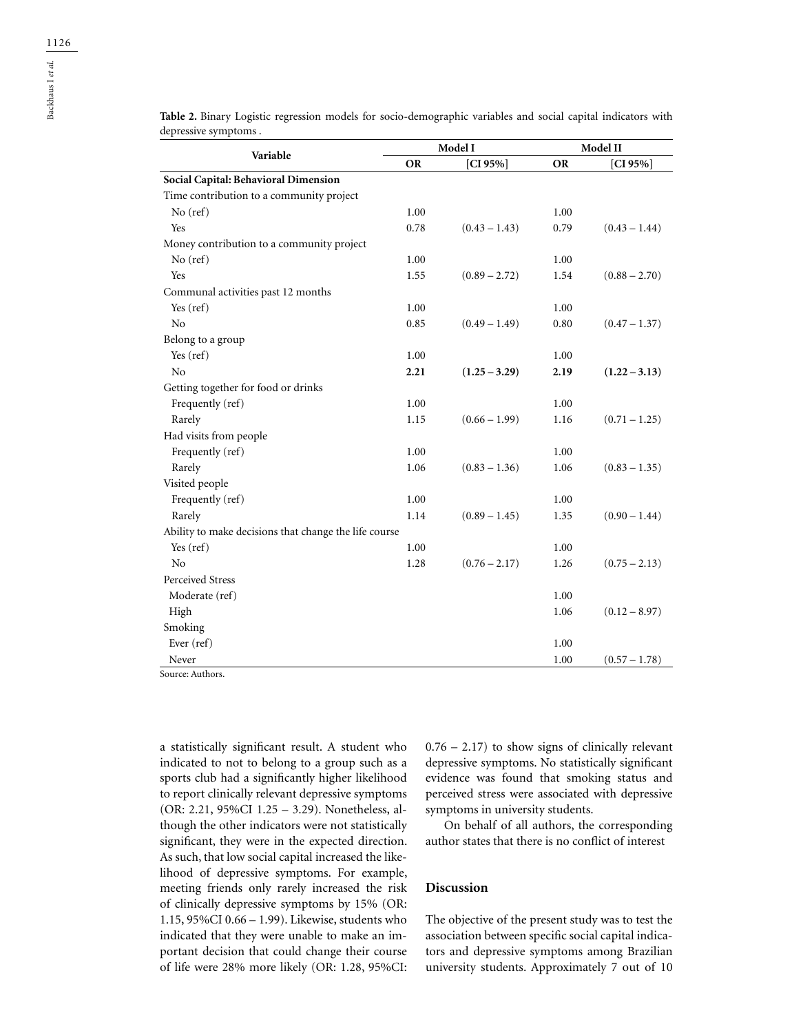| Variable                                              | Model I   |                 | Model II  |                 |
|-------------------------------------------------------|-----------|-----------------|-----------|-----------------|
|                                                       | <b>OR</b> | $[CI 95\%]$     | <b>OR</b> | [CI $95\%$ ]    |
| Social Capital: Behavioral Dimension                  |           |                 |           |                 |
| Time contribution to a community project              |           |                 |           |                 |
| $No$ (ref)                                            | 1.00      |                 | 1.00      |                 |
| Yes                                                   | 0.78      | $(0.43 - 1.43)$ | 0.79      | $(0.43 - 1.44)$ |
| Money contribution to a community project             |           |                 |           |                 |
| $No$ (ref)                                            | 1.00      |                 | 1.00      |                 |
| <b>Yes</b>                                            | 1.55      | $(0.89 - 2.72)$ | 1.54      | $(0.88 - 2.70)$ |
| Communal activities past 12 months                    |           |                 |           |                 |
| Yes (ref)                                             | 1.00      |                 | 1.00      |                 |
| N <sub>0</sub>                                        | 0.85      | $(0.49 - 1.49)$ | 0.80      | $(0.47 - 1.37)$ |
| Belong to a group                                     |           |                 |           |                 |
| Yes (ref)                                             | 1.00      |                 | 1.00      |                 |
| N <sub>o</sub>                                        | 2.21      | $(1.25 - 3.29)$ | 2.19      | $(1.22 - 3.13)$ |
| Getting together for food or drinks                   |           |                 |           |                 |
| Frequently (ref)                                      | 1.00      |                 | 1.00      |                 |
| Rarely                                                | 1.15      | $(0.66 - 1.99)$ | 1.16      | $(0.71 - 1.25)$ |
| Had visits from people                                |           |                 |           |                 |
| Frequently (ref)                                      | 1.00      |                 | 1.00      |                 |
| Rarely                                                | 1.06      | $(0.83 - 1.36)$ | 1.06      | $(0.83 - 1.35)$ |
| Visited people                                        |           |                 |           |                 |
| Frequently (ref)                                      | 1.00      |                 | 1.00      |                 |
| Rarely                                                | 1.14      | $(0.89 - 1.45)$ | 1.35      | $(0.90 - 1.44)$ |
| Ability to make decisions that change the life course |           |                 |           |                 |
| Yes (ref)                                             | 1.00      |                 | 1.00      |                 |
| N <sub>0</sub>                                        | 1.28      | $(0.76 - 2.17)$ | 1.26      | $(0.75 - 2.13)$ |
| Perceived Stress                                      |           |                 |           |                 |
| Moderate (ref)                                        |           |                 | 1.00      |                 |
| High                                                  |           |                 | 1.06      | $(0.12 - 8.97)$ |
| Smoking                                               |           |                 |           |                 |
| Ever (ref)                                            |           |                 | 1.00      |                 |
| Never                                                 |           |                 | 1.00      | $(0.57 - 1.78)$ |

**Table 2.** Binary Logistic regression models for socio-demographic variables and social capital indicators with depressive symptoms .

Source: Authors.

a statistically significant result. A student who indicated to not to belong to a group such as a sports club had a significantly higher likelihood to report clinically relevant depressive symptoms (OR: 2.21, 95%CI 1.25 – 3.29). Nonetheless, although the other indicators were not statistically significant, they were in the expected direction. As such, that low social capital increased the likelihood of depressive symptoms. For example, meeting friends only rarely increased the risk of clinically depressive symptoms by 15% (OR: 1.15, 95%CI 0.66 – 1.99). Likewise, students who indicated that they were unable to make an important decision that could change their course of life were 28% more likely (OR: 1.28, 95%CI:

 $0.76 - 2.17$ ) to show signs of clinically relevant depressive symptoms. No statistically significant evidence was found that smoking status and perceived stress were associated with depressive symptoms in university students.

On behalf of all authors, the corresponding author states that there is no conflict of interest

### **Discussion**

The objective of the present study was to test the association between specific social capital indicators and depressive symptoms among Brazilian university students. Approximately 7 out of 10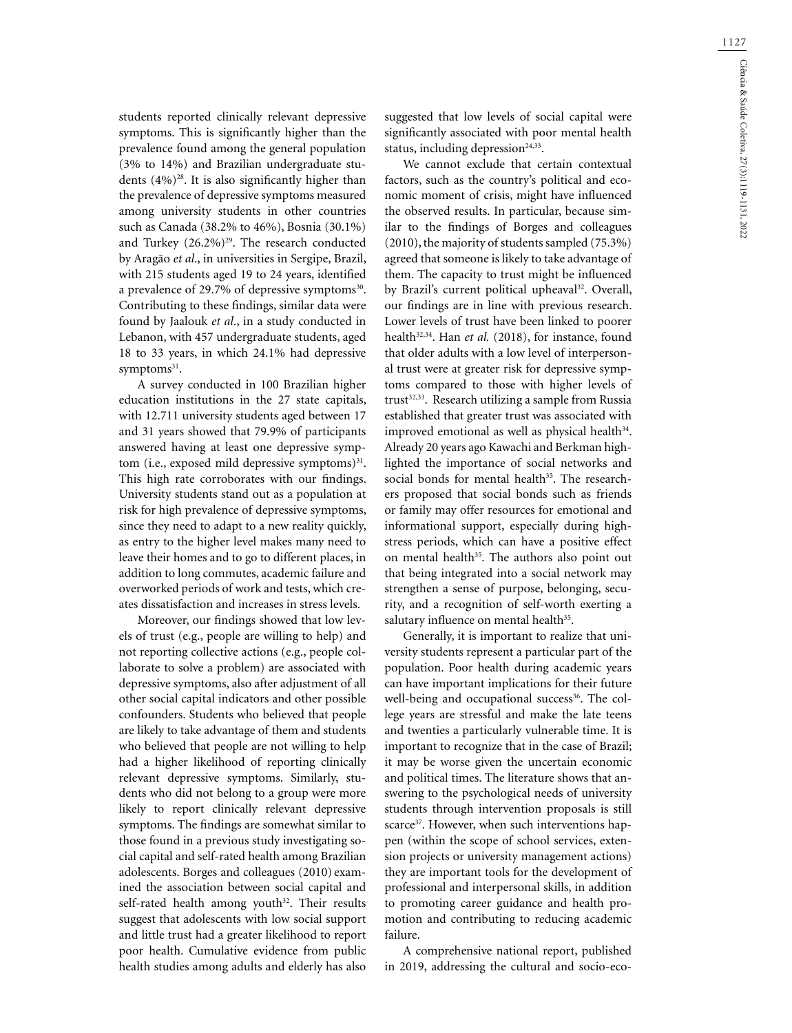students reported clinically relevant depressive symptoms. This is significantly higher than the prevalence found among the general population (3% to 14%) and Brazilian undergraduate students  $(4\%)^{28}$ . It is also significantly higher than the prevalence of depressive symptoms measured among university students in other countries such as Canada (38.2% to 46%), Bosnia (30.1%) and Turkey  $(26.2\%)^{29}$ . The research conducted by Aragão *et al*., in universities in Sergipe, Brazil, with 215 students aged 19 to 24 years, identified a prevalence of 29.7% of depressive symptoms<sup>30</sup>. Contributing to these findings, similar data were found by Jaalouk *et al*., in a study conducted in Lebanon, with 457 undergraduate students, aged 18 to 33 years, in which 24.1% had depressive symptoms<sup>31</sup>.

A survey conducted in 100 Brazilian higher education institutions in the 27 state capitals, with 12.711 university students aged between 17 and 31 years showed that 79.9% of participants answered having at least one depressive symptom (i.e., exposed mild depressive symptoms)<sup>31</sup>. This high rate corroborates with our findings. University students stand out as a population at risk for high prevalence of depressive symptoms, since they need to adapt to a new reality quickly, as entry to the higher level makes many need to leave their homes and to go to different places, in addition to long commutes, academic failure and overworked periods of work and tests, which creates dissatisfaction and increases in stress levels.

Moreover, our findings showed that low levels of trust (e.g., people are willing to help) and not reporting collective actions (e.g., people collaborate to solve a problem) are associated with depressive symptoms, also after adjustment of all other social capital indicators and other possible confounders. Students who believed that people are likely to take advantage of them and students who believed that people are not willing to help had a higher likelihood of reporting clinically relevant depressive symptoms. Similarly, students who did not belong to a group were more likely to report clinically relevant depressive symptoms. The findings are somewhat similar to those found in a previous study investigating social capital and self-rated health among Brazilian adolescents. Borges and colleagues (2010) examined the association between social capital and self-rated health among youth<sup>32</sup>. Their results suggest that adolescents with low social support and little trust had a greater likelihood to report poor health. Cumulative evidence from public health studies among adults and elderly has also suggested that low levels of social capital were significantly associated with poor mental health status, including depression $24,33$ .

We cannot exclude that certain contextual factors, such as the country's political and economic moment of crisis, might have influenced the observed results. In particular, because similar to the findings of Borges and colleagues (2010), the majority of students sampled (75.3%) agreed that someone is likely to take advantage of them. The capacity to trust might be influenced by Brazil's current political upheaval<sup>32</sup>. Overall, our findings are in line with previous research. Lower levels of trust have been linked to poorer health<sup>32,34</sup>. Han *et al.* (2018), for instance, found that older adults with a low level of interpersonal trust were at greater risk for depressive symptoms compared to those with higher levels of trust<sup>32,33</sup>. Research utilizing a sample from Russia established that greater trust was associated with improved emotional as well as physical health<sup>34</sup>. Already 20 years ago Kawachi and Berkman highlighted the importance of social networks and social bonds for mental health<sup>35</sup>. The researchers proposed that social bonds such as friends or family may offer resources for emotional and informational support, especially during highstress periods, which can have a positive effect on mental health<sup>35</sup>. The authors also point out that being integrated into a social network may strengthen a sense of purpose, belonging, security, and a recognition of self-worth exerting a salutary influence on mental health<sup>35</sup>.

Generally, it is important to realize that university students represent a particular part of the population. Poor health during academic years can have important implications for their future well-being and occupational success<sup>36</sup>. The college years are stressful and make the late teens and twenties a particularly vulnerable time. It is important to recognize that in the case of Brazil; it may be worse given the uncertain economic and political times. The literature shows that answering to the psychological needs of university students through intervention proposals is still scarce<sup>37</sup>. However, when such interventions happen (within the scope of school services, extension projects or university management actions) they are important tools for the development of professional and interpersonal skills, in addition to promoting career guidance and health promotion and contributing to reducing academic failure.

A comprehensive national report, published in 2019, addressing the cultural and socio-eco-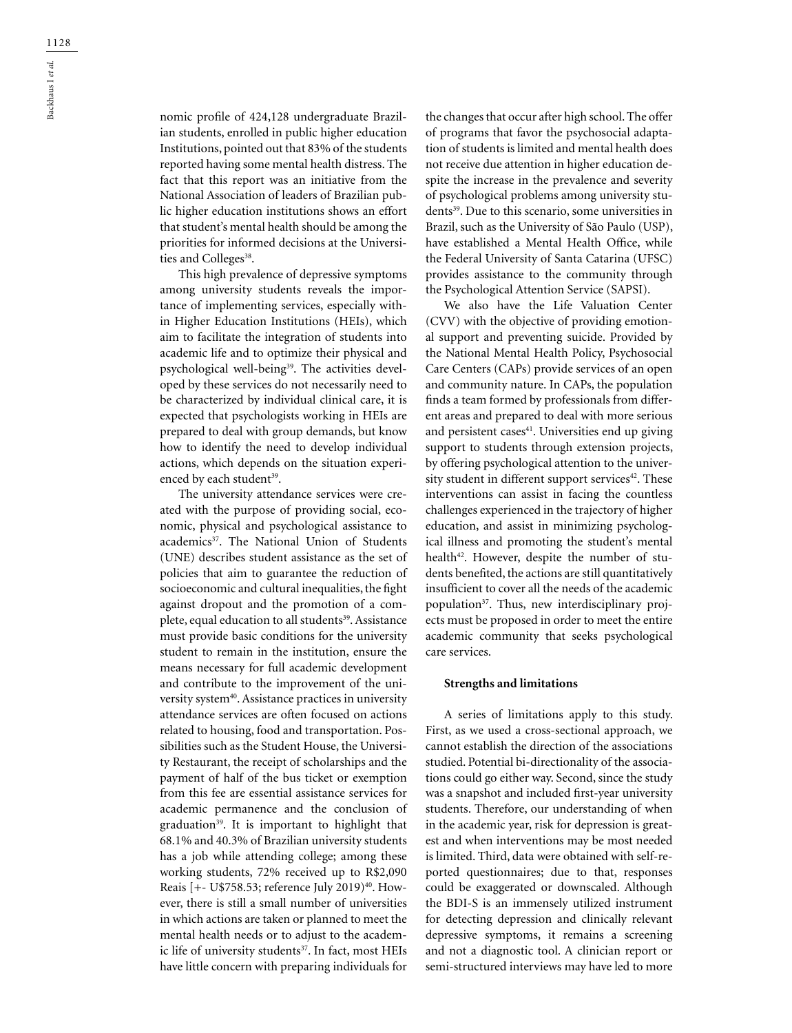nomic profile of 424,128 undergraduate Brazilian students, enrolled in public higher education Institutions, pointed out that 83% of the students reported having some mental health distress. The fact that this report was an initiative from the National Association of leaders of Brazilian public higher education institutions shows an effort that student's mental health should be among the priorities for informed decisions at the Universities and Colleges<sup>38</sup>.

This high prevalence of depressive symptoms among university students reveals the importance of implementing services, especially within Higher Education Institutions (HEIs), which aim to facilitate the integration of students into academic life and to optimize their physical and psychological well-being<sup>39</sup>. The activities developed by these services do not necessarily need to be characterized by individual clinical care, it is expected that psychologists working in HEIs are prepared to deal with group demands, but know how to identify the need to develop individual actions, which depends on the situation experienced by each student<sup>39</sup>.

The university attendance services were created with the purpose of providing social, economic, physical and psychological assistance to academics<sup>37</sup>. The National Union of Students (UNE) describes student assistance as the set of policies that aim to guarantee the reduction of socioeconomic and cultural inequalities, the fight against dropout and the promotion of a complete, equal education to all students<sup>39</sup>. Assistance must provide basic conditions for the university student to remain in the institution, ensure the means necessary for full academic development and contribute to the improvement of the university system<sup>40</sup>. Assistance practices in university attendance services are often focused on actions related to housing, food and transportation. Possibilities such as the Student House, the University Restaurant, the receipt of scholarships and the payment of half of the bus ticket or exemption from this fee are essential assistance services for academic permanence and the conclusion of graduation<sup>39</sup>. It is important to highlight that 68.1% and 40.3% of Brazilian university students has a job while attending college; among these working students, 72% received up to R\$2,090 Reais [+- U\$758.53; reference July 2019)<sup>40</sup>. However, there is still a small number of universities in which actions are taken or planned to meet the mental health needs or to adjust to the academic life of university students<sup>37</sup>. In fact, most HEIs have little concern with preparing individuals for

the changes that occur after high school. The offer of programs that favor the psychosocial adaptation of students is limited and mental health does not receive due attention in higher education despite the increase in the prevalence and severity of psychological problems among university students<sup>39</sup>. Due to this scenario, some universities in Brazil, such as the University of São Paulo (USP), have established a Mental Health Office, while the Federal University of Santa Catarina (UFSC) provides assistance to the community through the Psychological Attention Service (SAPSI).

We also have the Life Valuation Center (CVV) with the objective of providing emotional support and preventing suicide. Provided by the National Mental Health Policy, Psychosocial Care Centers (CAPs) provide services of an open and community nature. In CAPs, the population finds a team formed by professionals from different areas and prepared to deal with more serious and persistent cases<sup>41</sup>. Universities end up giving support to students through extension projects, by offering psychological attention to the university student in different support services<sup>42</sup>. These interventions can assist in facing the countless challenges experienced in the trajectory of higher education, and assist in minimizing psychological illness and promoting the student's mental health<sup>42</sup>. However, despite the number of students benefited, the actions are still quantitatively insufficient to cover all the needs of the academic population37. Thus, new interdisciplinary projects must be proposed in order to meet the entire academic community that seeks psychological care services.

### **Strengths and limitations**

A series of limitations apply to this study. First, as we used a cross-sectional approach, we cannot establish the direction of the associations studied. Potential bi-directionality of the associations could go either way. Second, since the study was a snapshot and included first-year university students. Therefore, our understanding of when in the academic year, risk for depression is greatest and when interventions may be most needed is limited. Third, data were obtained with self-reported questionnaires; due to that, responses could be exaggerated or downscaled. Although the BDI-S is an immensely utilized instrument for detecting depression and clinically relevant depressive symptoms, it remains a screening and not a diagnostic tool. A clinician report or semi-structured interviews may have led to more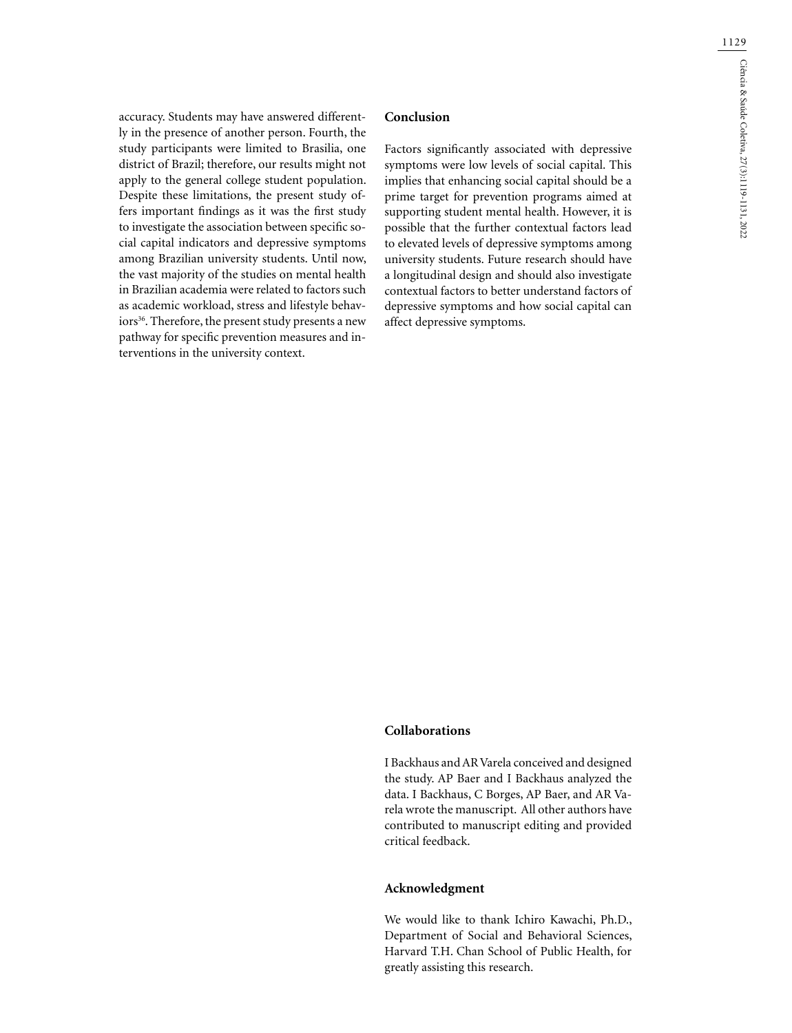accuracy. Students may have answered differently in the presence of another person. Fourth, the study participants were limited to Brasilia, one district of Brazil; therefore, our results might not apply to the general college student population. Despite these limitations, the present study offers important findings as it was the first study to investigate the association between specific social capital indicators and depressive symptoms among Brazilian university students. Until now, the vast majority of the studies on mental health in Brazilian academia were related to factors such as academic workload, stress and lifestyle behaviors<sup>36</sup>. Therefore, the present study presents a new pathway for specific prevention measures and interventions in the university context.

## **Conclusion**

Factors significantly associated with depressive symptoms were low levels of social capital. This implies that enhancing social capital should be a prime target for prevention programs aimed at supporting student mental health. However, it is possible that the further contextual factors lead to elevated levels of depressive symptoms among university students. Future research should have a longitudinal design and should also investigate contextual factors to better understand factors of depressive symptoms and how social capital can affect depressive symptoms.

### **Collaborations**

I Backhaus and AR Varela conceived and designed the study. AP Baer and I Backhaus analyzed the data. I Backhaus, C Borges, AP Baer, and AR Varela wrote the manuscript. All other authors have contributed to manuscript editing and provided critical feedback.

### **Acknowledgment**

We would like to thank Ichiro Kawachi, Ph.D., Department of Social and Behavioral Sciences, Harvard T.H. Chan School of Public Health, for greatly assisting this research.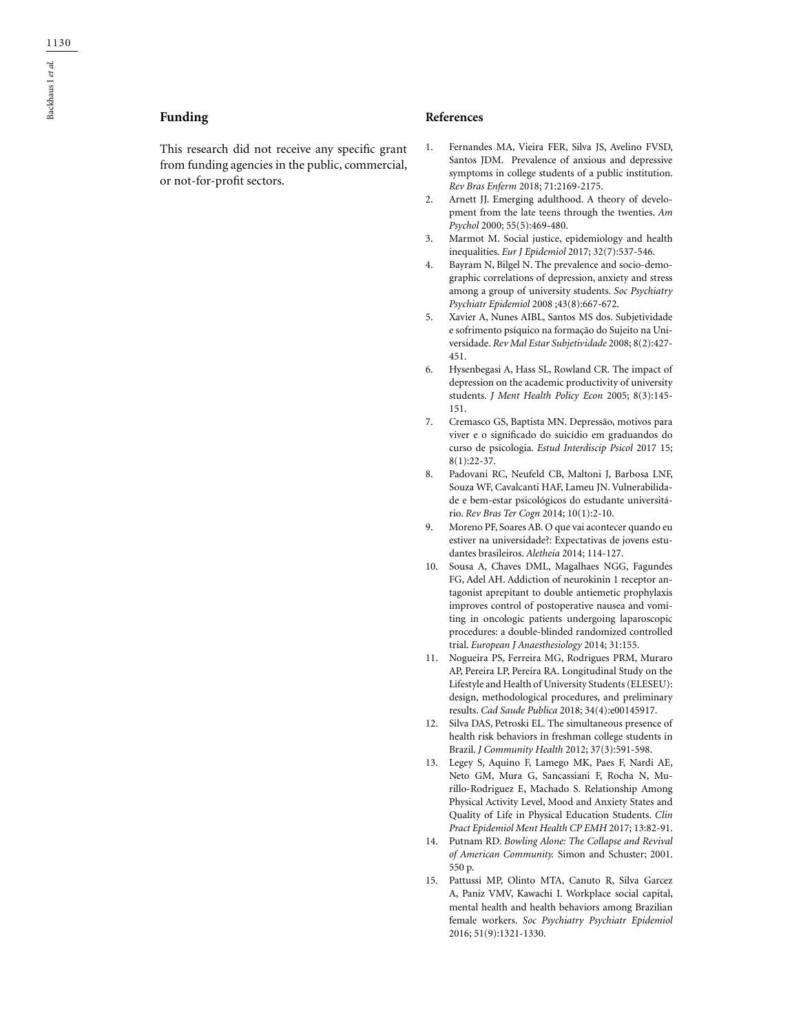# **Funding**

This research did not receive any specific grant from funding agencies in the public, commercial, or not-for-profit sectors.

### **References**

- 1. Fernandes MA, Vieira FER, Silva JS, Avelino FVSD, Santos JDM. Prevalence of anxious and depressive symptoms in college students of a public institution. *Rev Bras Enferm* 2018; 71:2169-2175.
- 2. Arnett JJ. Emerging adulthood. A theory of development from the late teens through the twenties. *Am Psychol* 2000; 55(5):469-480.
- 3. Marmot M. Social justice, epidemiology and health inequalities. *Eur J Epidemiol* 2017; 32(7):537-546.
- 4. Bayram N, Bilgel N. The prevalence and socio-demographic correlations of depression, anxiety and stress among a group of university students. *Soc Psychiatry Psychiatr Epidemiol* 2008 ;43(8):667-672.
- 5. Xavier A, Nunes AIBL, Santos MS dos. Subjetividade e sofrimento psíquico na formação do Sujeito na Universidade. *Rev Mal Estar Subjetividade* 2008; 8(2):427- 451.
- 6. Hysenbegasi A, Hass SL, Rowland CR. The impact of depression on the academic productivity of university students. *J Ment Health Policy Econ* 2005; 8(3):145- 151.
- 7. Cremasco GS, Baptista MN. Depressão, motivos para viver e o significado do suicídio em graduandos do curso de psicologia. *Estud Interdiscip Psicol* 2017 15; 8(1):22-37.
- 8. Padovani RC, Neufeld CB, Maltoni J, Barbosa LNF, Souza WF, Cavalcanti HAF, Lameu JN. Vulnerabilidade e bem-estar psicológicos do estudante universitário. *Rev Bras Ter Cogn* 2014; 10(1):2-10.
- 9. Moreno PF, Soares AB. O que vai acontecer quando eu estiver na universidade?: Expectativas de jovens estudantes brasileiros. *Aletheia* 2014; 114-127.
- 10. Sousa A, Chaves DML, Magalhaes NGG, Fagundes FG, Adel AH. Addiction of neurokinin 1 receptor antagonist aprepitant to double antiemetic prophylaxis improves control of postoperative nausea and vomiting in oncologic patients undergoing laparoscopic procedures: a double-blinded randomized controlled trial. *European J Anaesthesiology* 2014; 31:155.
- 11. Nogueira PS, Ferreira MG, Rodrigues PRM, Muraro AP, Pereira LP, Pereira RA. Longitudinal Study on the Lifestyle and Health of University Students (ELESEU): design, methodological procedures, and preliminary results. *Cad Saude Publica* 2018; 34(4):e00145917.
- 12. Silva DAS, Petroski EL. The simultaneous presence of health risk behaviors in freshman college students in Brazil. *J Community Health* 2012; 37(3):591-598.
- 13. Legey S, Aquino F, Lamego MK, Paes F, Nardi AE, Neto GM, Mura G, Sancassiani F, Rocha N, Murillo-Rodriguez E, Machado S. Relationship Among Physical Activity Level, Mood and Anxiety States and Quality of Life in Physical Education Students. *Clin Pract Epidemiol Ment Health CP EMH* 2017; 13:82-91.
- 14. Putnam RD. *Bowling Alone: The Collapse and Revival of American Community.* Simon and Schuster; 2001. 550 p.
- 15. Pattussi MP, Olinto MTA, Canuto R, Silva Garcez A, Paniz VMV, Kawachi I. Workplace social capital, mental health and health behaviors among Brazilian female workers. *Soc Psychiatry Psychiatr Epidemiol*  2016; 51(9):1321-1330.